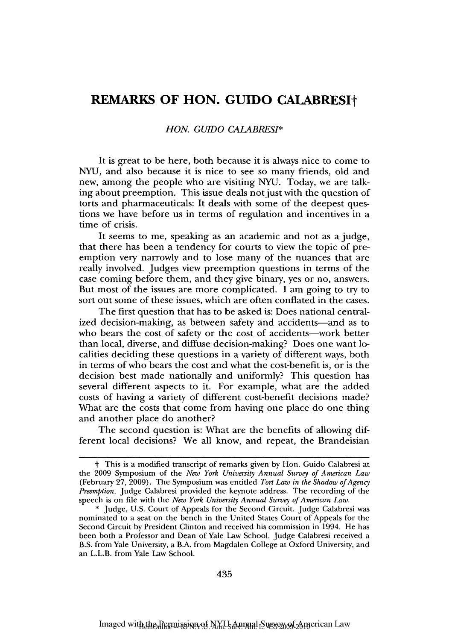# **REMARKS OF HON. GUIDO CALABRESIt**

### *HON. GULDO CALABRESI\**

It is great to be here, both because it is always nice to come to NYU, and also because it is nice to see so many friends, old and new, among the people who are visiting NYU. Today, we are talking about preemption. This issue deals not just with the question of torts and pharmaceuticals: It deals with some of the deepest questions we have before us in terms of regulation and incentives in a time of crisis.

It seems to me, speaking as an academic and not as a judge, that there has been a tendency for courts to view the topic of preemption very narrowly and to lose many of the nuances that are really involved. Judges view preemption questions in terms of the case coming before them, and they give binary, yes or no, answers. But most of the issues are more complicated. **I** am going to try to sort out some of these issues, which are often conflated in the cases.

The first question that has to be asked is: Does national centralized decision-making, as between safety and accidents—and as to who bears the cost of safety or the cost of accidents-work better than local, diverse, and diffuse decision-making? Does one want localities deciding these questions in a variety of different ways, both in terms of who bears the cost and what the cost-benefit is, or is the decision best made nationally and uniformly? This question has several different aspects to it. For example, what are the added costs of having a variety of different cost-benefit decisions made? What are the costs that come from having one place do one thing and another place do another?

The second question is: What are the benefits of allowing different local decisions? We all know, and repeat, the Brandeisian

t This is a modified transcript of remarks given by Hon. Guido Calabresi at the 2009 Symposium of the *New York University Annual Survey of American Law* (February 27, 2009). The Symposium was entitled *Tort Law in the Shadow of Agency Preemption.* Judge Calabresi provided the keynote address. The recording of the speech is on file with the *New York University Annual Survey of American Law.*

<sup>\*</sup> Judge, U.S. Court of Appeals for the Second Circuit. Judge Calabresi was nominated to a seat on the bench in the United States Court of Appeals for the Second Circuit by President Clinton and received his commission in 1994. He has been both a Professor and Dean of Yale Law School. Judge Calabresi received a B.S. from Yale University, a B.A. from Magdalen College at Oxford University, and an L.L.B. from Yale Law School.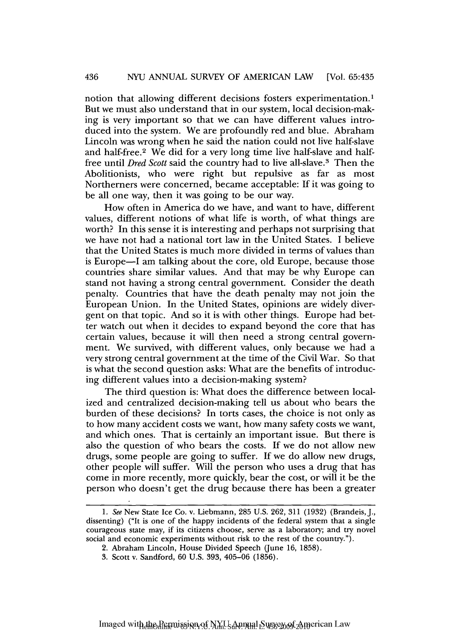notion that allowing different decisions fosters experimentation.1 But we must also understand that in our system, local decision-making is very important so that we can have different values introduced into the system. We are profoundly red and blue. Abraham Lincoln was wrong when he said the nation could not live half-slave and half-free.<sup>2</sup> We did for a very long time live half-slave and halffree until Dred Scott said the country had to live all-slave. 3 Then the Abolitionists, who were right but repulsive as far as most Northerners were concerned, became acceptable: If it was going to be all one way, then it was going to be our way.

How often in America do we have, and want to have, different values, different notions of what life is worth, of what things are worth? In this sense it is interesting and perhaps not surprising that we have not had a national tort law in the United States. I believe that the United States is much more divided in terms of values than is Europe-I am talking about the core, old Europe, because those countries share similar values. And that may be why Europe can stand not having a strong central government. Consider the death penalty. Countries that have the death penalty may not join the European Union. In the United States, opinions are widely divergent on that topic. And so it is with other things. Europe had better watch out when it decides to expand beyond the core that has certain values, because it will then need a strong central government. We survived, with different values, only because we had a very strong central government at the time of the Civil War. So that is what the second question asks: What are the benefits of introducing different values into a decision-making system?

The third question is: What does the difference between localized and centralized decision-making tell us about who bears the burden of these decisions? In torts cases, the choice is not only as to how many accident costs we want, how many safety costs we want, and which ones. That is certainly an important issue. But there is also the question of who bears the costs. If we do not allow new drugs, some people are going to suffer. If we do allow new drugs, other people will suffer. Will the person who uses a drug that has come in more recently, more quickly, bear the cost, or will it be the person who doesn't get the drug because there has been a greater

*<sup>1.</sup>* See New State Ice Co. v. Liebmann, 285 U.S. 262, 311 (1932) (Brandeis, J., dissenting) ("It is one of the happy incidents of the federal system that a single courageous state may, if its citizens choose, serve as a laboratory; and try novel social and economic experiments without risk to the rest of the country.").

<sup>2.</sup> Abraham Lincoln, House Divided Speech (June 16, 1858).

<sup>3.</sup> Scott v. Sandford, 60 U.S. 393, 405-06 (1856).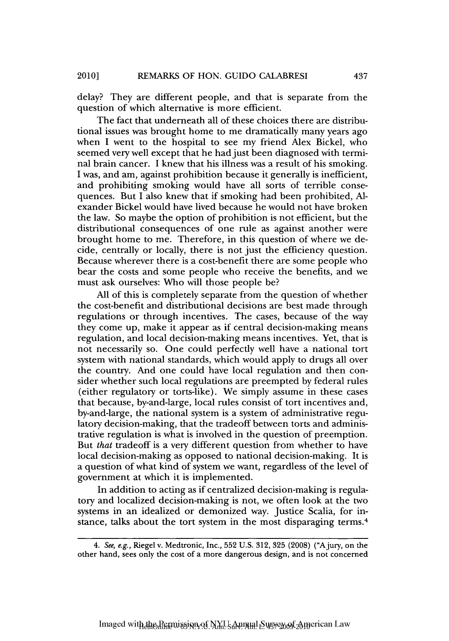delay? They are different people, and that is separate from the question of which alternative is more efficient.

The fact that underneath all of these choices there are distributional issues was brought home to me dramatically many years ago when I went to the hospital to see my friend Alex Bickel, who seemed very well except that he had just been diagnosed with terminal brain cancer. I knew that his illness was a result of his smoking. I was, and am, against prohibition because it generally is inefficient, and prohibiting smoking would have all sorts of terrible consequences. But I also knew that if smoking had been prohibited, Alexander Bickel would have lived because he would not have broken the law. So maybe the option of prohibition is not efficient, but the distributional consequences of one rule as against another were brought home to me. Therefore, in this question of where we decide, centrally or locally, there is not just the efficiency question. Because wherever there is a cost-benefit there are some people who bear the costs and some people who receive the benefits, and we must ask ourselves: Who will those people be?

All of this is completely separate from the question of whether the cost-benefit and distributional decisions are best made through regulations or through incentives. The cases, because of the way they come up, make it appear as if central decision-making means regulation, and local decision-making means incentives. Yet, that is not necessarily so. One could perfectly well have a national tort system with national standards, which would apply to drugs all over the country. And one could have local regulation and then consider whether such local regulations are preempted by federal rules (either regulatory or torts-like). We simply assume in these cases that because, by-and-large, local rules consist of tort incentives and, by-and-large, the national system is a system of administrative regulatory decision-making, that the tradeoff between torts and administrative regulation is what is involved in the question of preemption. But *that* tradeoff is a very different question from whether to have local decision-making as opposed to national decision-making. It is a question of what kind of system we want, regardless of the level of government at which it is implemented.

In addition to acting as if centralized decision-making is regulatory and localized decision-making is not, we often look at the two systems in an idealized or demonized way. Justice Scalia, for instance, talks about the tort system in the most disparaging terms.<sup>4</sup>

*<sup>4.</sup> See,* e.g., Riegel v. Medtronic, Inc., 552 U.S. 312, 325 (2008) ("A jury, on the other hand, sees only the cost of a more dangerous design, and is not concerned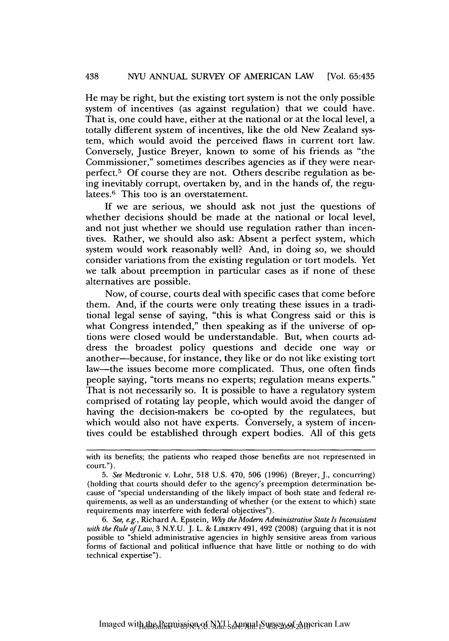He may be right, but the existing tort system is not the only possible system of incentives (as against regulation) that we could have. That is, one could have, either at the national or at the local level, a totally different system of incentives, like the old New Zealand system, which would avoid the perceived flaws in current tort law. Conversely, Justice Breyer, known to some of his friends as "the Commissioner," sometimes describes agencies as if they were nearperfect.5 **Of** course they are not. Others describe regulation as being inevitably corrupt, overtaken **by,** and in the hands of, the regulatees.<sup>6</sup> This too is an overstatement.

**If** we are serious, we should ask not just the questions of whether decisions should be made at the national or local level, and not just whether we should use regulation rather than incentives. Rather, we should also ask: Absent a perfect system, which system would work reasonably well? And, in doing so, we should consider variations from the existing regulation or tort models. Yet we talk about preemption in particular cases as if none of these alternatives are possible.

Now, of course, courts deal with specific cases that come before them. And, if the courts were only treating these issues in a traditional legal sense of saying, "this is what Congress said or this is what Congress intended," then speaking as if the universe of options were closed would be understandable. But, when courts address the broadest policy questions and decide one way or another-because, for instance, they like or do not like existing tort law-the issues become more complicated. Thus, one often finds people saying, "torts means no experts; regulation means experts." That is not necessarily so. It is possible to have a regulatory system comprised of rotating lay people, which would avoid the danger of having the decision-makers be co-opted **by** the regulatees, but which would also not have experts. Conversely, a system of incentives could be established through expert bodies. **All** of this gets

Imaged with the Permission of NYU Annual Survey of American Law

with its benefits; the patients who reaped those benefits are not represented in court.").

*<sup>5.</sup> See* Medtronic v. Lohr, **518 U.S.** 470, **506 (1996)** (Breyer, **J.,** concurring) (holding that courts should defer to the agency's preemption determination because of "special understanding of the likely impact of both state and federal requirements, as well as an understanding of whether (or the extent to which) state requirements may interfere with federal objectives").

*<sup>6.</sup> See, e.g.,* Richard **A.** Epstein, *Why the Modern Administrative State Is Inconsistent with the Rule of Law,* **3 N.Y.U. J.** L. **& LIBERTY** 491, 492 **(2008)** (arguing that it is not possible to "shield administrative agencies in **highly** sensitive areas from various forms of factional and political influence that have little or nothing to do with technical expertise").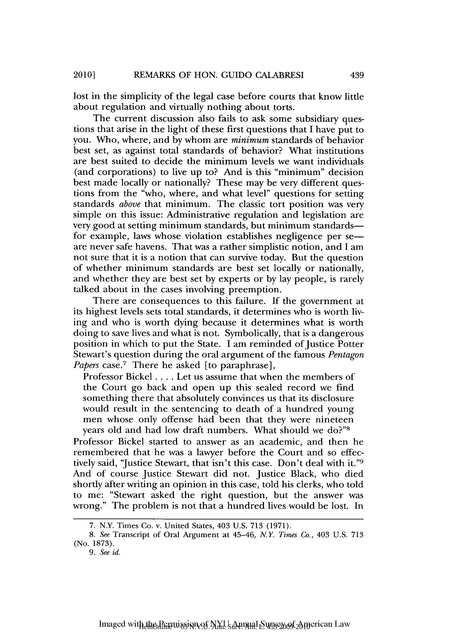lost in the simplicity of the legal case before courts that know little about regulation and virtually nothing about torts.

The current discussion also fails to ask some subsidiary questions that arise in the light of these first questions that I have put to you. Who, where, and by whom are *minimum* standards of behavior best set, as against total standards of behavior? What institutions are best suited to decide the minimum levels we want individuals (and corporations) to live up to? And is this "minimum" decision best made locally or nationally? These may be very different questions from the "who, where, and what level" questions for setting standards *above* that minimum. The classic tort position was very simple on this issue: Administrative regulation and legislation are very good at setting minimum standards, but minimum standardsfor example, laws whose violation establishes negligence per se are never safe havens. That was a rather simplistic notion, and I am not sure that it is a notion that can survive today. But the question of whether minimum standards are best set locally or nationally, and whether they are best set by experts or by lay people, is rarely talked about in the cases involving preemption.

There are consequences to this failure. If the government at its highest levels sets total standards, it determines who is worth living and who is worth dying because it determines what is worth doing to save lives and what is not. Symbolically, that is a dangerous position in which to put the State. I am reminded of Justice Potter Stewart's question during the oral argument of the famous *Pentagon* Papers case.<sup>7</sup> There he asked [to paraphrase],

Professor Bickel **....** Let us assume that when the members of the Court go back and open up this sealed record we find something there that absolutely convinces us that its disclosure would result in the sentencing to death of a hundred young men whose only offense had been that they were nineteen years old and had low draft numbers. What should we do?"

Professor Bickel started to answer as an academic, and then he remembered that he was a lawyer before the Court and so effectively said, "Justice Stewart, that isn't this case. Don't deal with it."9 And of course Justice Stewart did not. Justice Black, who died shortly after writing an opinion in this case, told his clerks, who told to me: "Stewart asked the right question, but the answer was wrong." The problem is not that a hundred lives would be lost. In

439

<sup>7.</sup> N.Y. Times Co. v. United States, 403 U.S. 713 (1971).

*<sup>8.</sup> See* Transcript of Oral Argument at 45-46, *NY Times Co.,* 403 U.S. 713 (No. 1873).

*<sup>9.</sup> See id.*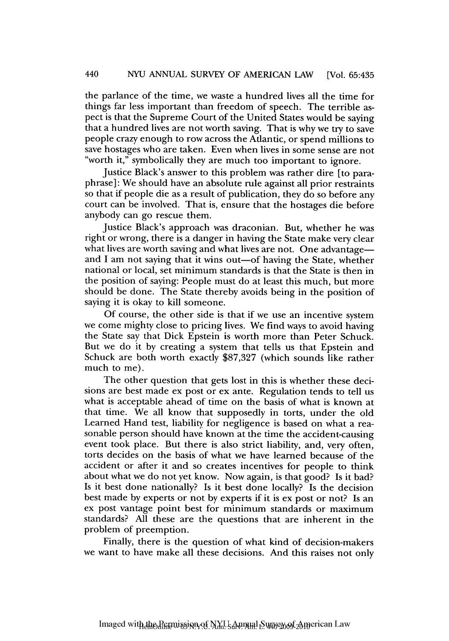the parlance of the time, we waste a hundred lives all the time for things far less important than freedom of speech. The terrible aspect is that the Supreme Court of the United States would be saying that a hundred lives are not worth saving. That is why we try to save people crazy enough to row across the Atlantic, or spend millions to save hostages who are taken. Even when lives in some sense are not "worth it," symbolically they are much too important to ignore.

Justice Black's answer to this problem was rather dire [to paraphrase]: We should have an absolute rule against all prior restraints so that if people die as a result of publication, they do so before any court can be involved. That is, ensure that the hostages die before anybody can go rescue them.

Justice Black's approach was draconian. But, whether he was right or wrong, there is a danger in having the State make very clear what lives are worth saving and what lives are not. One advantage and I am not saying that it wins out—of having the State, whether national or local, set minimum standards is that the State is then in the position of saying: People must do at least this much, but more should be done. The State thereby avoids being in the position of saying it is okay to kill someone.

Of course, the other side is that if we use an incentive system we come mighty close to pricing lives. We find ways to avoid having the State say that Dick Epstein is worth more than Peter Schuck. But we do it by creating a system that tells us that Epstein and Schuck are both worth exactly \$87,327 (which sounds like rather much to me).

The other question that gets lost in this is whether these decisions are best made ex post or ex ante. Regulation tends to tell us what is acceptable ahead of time on the basis of what is known at that time. We all know that supposedly in torts, under the old Learned Hand test, liability for negligence is based on what a reasonable person should have known at the time the accident-causing event took place. But there is also strict liability, and, very often, torts decides on the basis of what we have learned because of the accident or after it and so creates incentives for people to think about what we do not yet know. Now again, is that good? Is it bad? Is it best done nationally? Is it best done locally? Is the decision best made by experts or not by experts if it is ex post or not? Is an ex post vantage point best for minimum standards or maximum standards? All these are the questions that are inherent in the problem of preemption.

Finally, there is the question of what kind of decision-makers we want to have make all these decisions. And this raises not only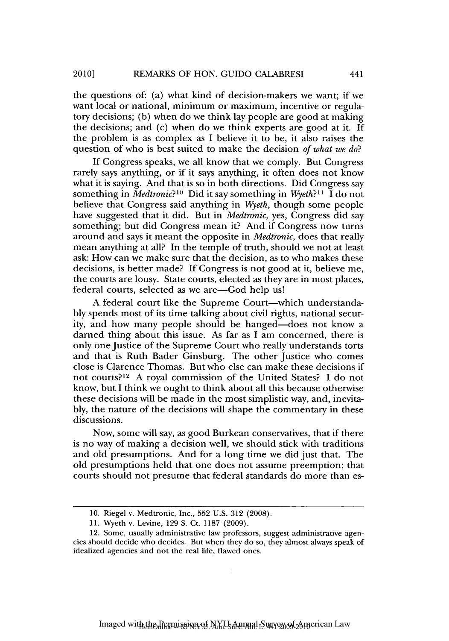the questions of: (a) what kind of decision-makers we want; if we want local or national, minimum or maximum, incentive or regulatory decisions; (b) when do we think lay people are good at making the decisions; and (c) when do we think experts are good at it. If the problem is as complex as I believe it to be, it also raises the question of who is best suited to make the decision *of what we do?*

If Congress speaks, we all know that we comply. But Congress rarely says anything, or if it says anything, it often does not know what it is saying. And that is so in both directions. Did Congress say something in *Medtronic*?<sup>10</sup> Did it say something in *Wyeth*?<sup>11</sup> I do not believe that Congress said anything in *Wyeth,* though some people have suggested that it did. But in *Medtronic,* yes, Congress did say something; but did Congress mean it? And if Congress now turns around and says it meant the opposite in *Medtronic,* does that really mean anything at all? In the temple of truth, should we not at least ask: How can we make sure that the decision, as to who makes these decisions, is better made? If Congress is not good at it, believe me, the courts are lousy. State courts, elected as they are in most places, federal courts, selected as we are-God help us!

A federal court like the Supreme Court-which understandably spends most of its time talking about civil rights, national security, and how many people should be hanged—does not know a darned thing about this issue. As far as I am concerned, there is only one Justice of the Supreme Court who really understands torts and that is Ruth Bader Ginsburg. The other Justice who comes close is Clarence Thomas. But who else can make these decisions if not courts?12 A royal commission of the United States? I do not know, but I think we ought to think about all this because otherwise these decisions will be made in the most simplistic way, and, inevitably, the nature of the decisions will shape the commentary in these discussions.

Now, some will say, as good Burkean conservatives, that if there is no way of making a decision well, we should stick with traditions and old presumptions. And for a long time we did just that. The old presumptions held that one does not assume preemption; that courts should not presume that federal standards do more than es-

441

<sup>10.</sup> Riegel v. Medtronic, Inc., 552 U.S. 312 (2008).

<sup>11.</sup> Wyeth v. Levine, 129 S. Ct. 1187 (2009).

<sup>12.</sup> Some, usually administrative law professors, suggest administrative agencies should decide who decides. But when they do so, they almost always speak of idealized agencies and not the real life, flawed ones.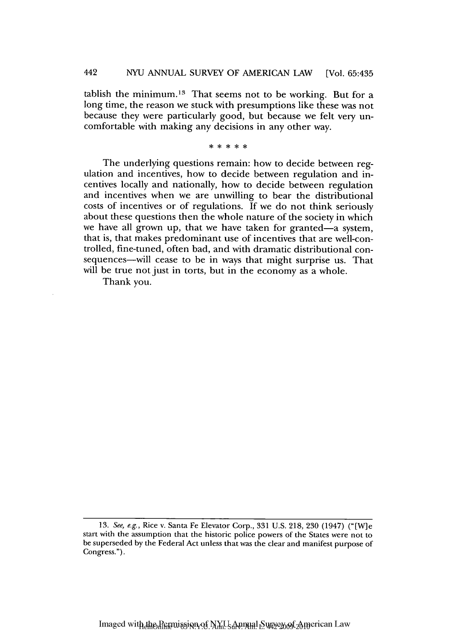tablish the minimum.<sup>13</sup> That seems not to be working. But for a long time, the reason we stuck with presumptions like these was not because they were particularly good, but because we felt very uncomfortable with making any decisions in any other way.

\* \* \* \* \*

The underlying questions remain: how to decide between regulation and incentives, how to decide between regulation and incentives locally and nationally, how to decide between regulation and incentives when we are unwilling to bear the distributional costs of incentives or of regulations. If we do not think seriously about these questions then the whole nature of the society in which we have all grown up, that we have taken for granted-a system, that is, that makes predominant use of incentives that are well-controlled, fine-tuned, often bad, and with dramatic distributional consequences-will cease to be in ways that might surprise us. That will be true not just in torts, but in the economy as a whole.

Thank you.

<sup>13.</sup> See, e.g., Rice v. Santa Fe Elevator Corp., 331 U.S. 218, 230 (1947) ("[W]e start with the assumption that the historic police powers of the States were not to be superseded by the Federal Act unless that was the clear and manifest purpose of Congress.").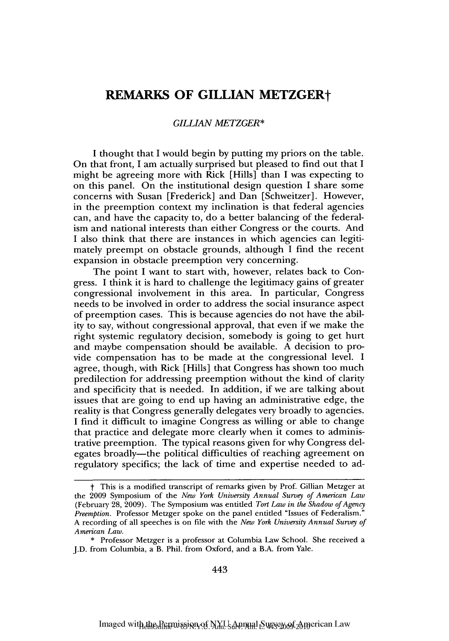## **REMARKS OF GILLIAN METZGERt**

## *GILLIAN METZGER\**

**I** thought that **I** would begin **by** putting my priors on the table. On that front, I am actually surprised but pleased to find out that **I** might be agreeing more with Rick [Hills] than I was expecting to on this panel. On the institutional design question I share some concerns with Susan [Frederick] and Dan [Schweitzer]. However, in the preemption context my inclination is that federal agencies can, and have the capacity to, do a better balancing of the federalism and national interests than either Congress or the courts. And **I** also think that there are instances in which agencies can legitimately preempt on obstacle grounds, although **I** find the recent expansion in obstacle preemption very concerning.

The point I want to start with, however, relates back to Congress. **I** think it is hard to challenge the legitimacy gains of greater congressional involvement in this area. In particular, Congress needs to be involved in order to address the social insurance aspect of preemption cases. This is because agencies do not have the ability to say, without congressional approval, that even if we make the right systemic regulatory decision, somebody is going to get hurt and maybe compensation should be available. **A** decision to provide compensation has to be made at the congressional level. **I** agree, though, with Rick [Hills] that Congress has shown too much predilection for addressing preemption without the kind of clarity and specificity that is needed. In addition, if we are talking about issues that are going to end up having an administrative edge, the reality is that Congress generally delegates very broadly to agencies. **I** find it difficult to imagine Congress as willing or able to change that practice and delegate more clearly when it comes to administrative preemption. The typical reasons given for why Congress delegates broadly—the political difficulties of reaching agreement on regulatory specifics; the lack of time and expertise needed to ad-

t This is a modified transcript of remarks given **by** Prof. Gillian Metzger at the **2009** Symposium of the *New York University Annual Survey of American Law* (February **28, 2009).** The Symposium was entitled *Tort Law in the Shadow of Agency Preemption.* Professor Metzger spoke on the panel entitled "Issues of Federalism." **A** recording of all speeches is on file with the *New York University Annual Survey of American Law.*

**<sup>\*</sup>** Professor Metzger is a professor at Columbia Law School. **She** received a **J.D.** from Columbia, a B. Phil. from Oxford, and a B.A. from Yale.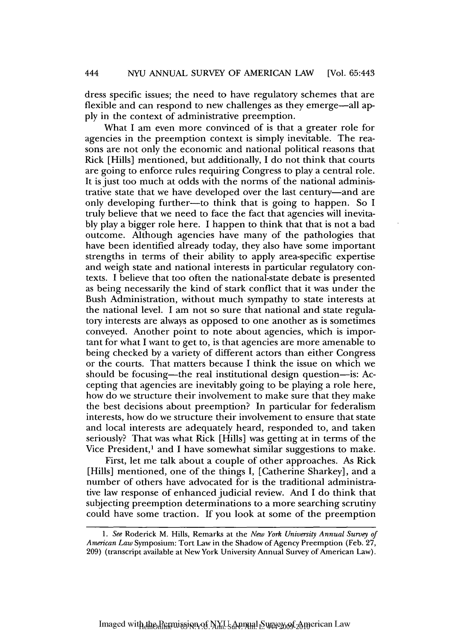dress specific issues; the need to have regulatory schemes that are flexible and can respond to new challenges as they emerge—all apply in the context of administrative preemption.

What I am even more convinced of is that a greater role for agencies in the preemption context is simply inevitable. The reasons are not only the economic and national political reasons that Rick [Hills] mentioned, but additionally, I do not think that courts are going to enforce rules requiring Congress to play a central role. It is just too much at odds with the norms of the national administrative state that we have developed over the last century-and are only developing further-to think that is going to happen. So I truly believe that we need to face the fact that agencies will inevitably play a bigger role here. I happen to think that that is not a bad outcome. Although agencies have many of the pathologies that have been identified already today, they also have some important strengths in terms of their ability to apply area-specific expertise and weigh state and national interests in particular regulatory contexts. I believe that too often the national-state debate is presented as being necessarily the kind of stark conflict that it was under the Bush Administration, without much sympathy to state interests at the national level. I am not so sure that national and state regulatory interests are always as opposed to one another as is sometimes conveyed. Another point to note about agencies, which is important for what I want to get to, is that agencies are more amenable to being checked by a variety of different actors than either Congress or the courts. That matters because I think the issue on which we should be focusing—the real institutional design question—is: Accepting that agencies are inevitably going to be playing a role here, how do we structure their involvement to make sure that they make the best decisions about preemption? In particular for federalism interests, how do we structure their involvement to ensure that state and local interests are adequately heard, responded to, and taken seriously? That was what Rick [Hills] was getting at in terms of the Vice President,<sup>1</sup> and I have somewhat similar suggestions to make.

First, let me talk about a couple of other approaches. As Rick [Hills] mentioned, one of the things I, [Catherine Sharkey], and a number of others have advocated for is the traditional administrative law response of enhanced judicial review. And I do think that subjecting preemption determinations to a more searching scrutiny could have some traction. If you look at some of the preemption

*<sup>1.</sup> See* Roderick M. Hills, Remarks at the *New York University Annual Survey of American Law* Symposium: Tort Law in the Shadow of Agency Preemption (Feb. 27, 209) (transcript available at New York University Annual Survey of American Law).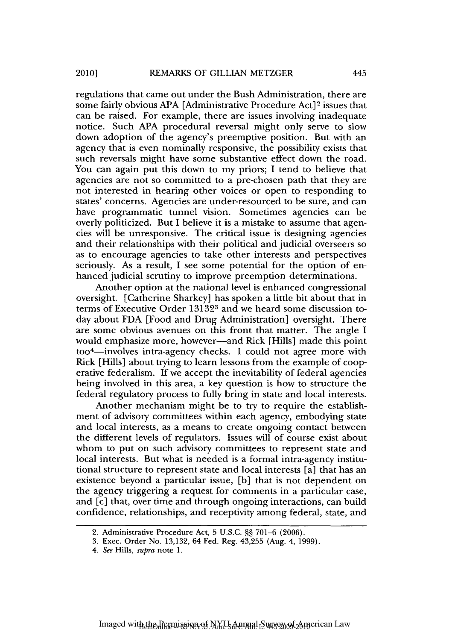regulations that came out under the Bush Administration, there are some fairly obvious APA [Administrative Procedure Act]<sup>2</sup> issues that can be raised. For example, there are issues involving inadequate notice. Such APA procedural reversal might only serve to slow down adoption of the agency's preemptive position. But with an agency that is even nominally responsive, the possibility exists that such reversals might have some substantive effect down the road. You can again put this down to my priors; I tend to believe that agencies are not so committed to a pre-chosen path that they are not interested in hearing other voices or open to responding to states' concerns. Agencies are under-resourced to be sure, and can have programmatic tunnel vision. Sometimes agencies can be overly politicized. But I believe it is a mistake to assume that agencies will be unresponsive. The critical issue is designing agencies and their relationships with their political and judicial overseers so as to encourage agencies to take other interests and perspectives seriously. As a result, I see some potential for the option of enhanced judicial scrutiny to improve preemption determinations.

Another option at the national level is enhanced congressional oversight. [Catherine Sharkey] has spoken a little bit about that in terms of Executive Order 131323 and we heard some discussion today about FDA [Food and Drug Administration] oversight. There are some obvious avenues on this front that matter. The angle I would emphasize more, however—and Rick [Hills] made this point too4-involves intra-agency checks. I could not agree more with Rick [Hills] about trying to learn lessons from the example of cooperative federalism. If we accept the inevitability of federal agencies being involved in this area, a key question is how to structure the federal regulatory process to fully bring in state and local interests.

Another mechanism might be to try to require the establishment of advisory committees within each agency, embodying state and local interests, as a means to create ongoing contact between the different levels of regulators. Issues will of course exist about whom to put on such advisory committees to represent state and local interests. But what is needed is a formal intra-agency institutional structure to represent state and local interests [a] that has an existence beyond a particular issue, **[b]** that is not dependent on the agency triggering a request for comments in a particular case, and [c] that, over time and through ongoing interactions, can build confidence, relationships, and receptivity among federal, state, and

445

<sup>2.</sup> Administrative Procedure Act, 5 U.S.C. §§ 701-6 (2006).

<sup>3.</sup> Exec. Order No. 13,132, 64 Fed. Reg. 43,255 (Aug. 4, 1999).

*<sup>4.</sup> See* Hills, *supra* note 1.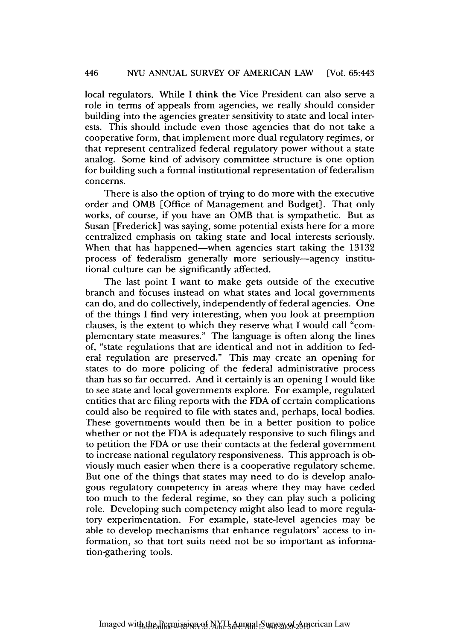local regulators. While I think the Vice President can also serve a role in terms of appeals from agencies, we really should consider building into the agencies greater sensitivity to state and local interests. This should include even those agencies that do not take a cooperative form, that implement more dual regulatory regimes, or that represent centralized federal regulatory power without a state analog. Some kind of advisory committee structure is one option for building such a formal institutional representation of federalism concerns.

There is also the option of trying to do more with the executive order and OMB [Office of Management and Budget]. That only works, of course, if you have an OMB that is sympathetic. But as Susan [Frederick] was saying, some potential exists here for a more centralized emphasis on taking state and local interests seriously. When that has happened—when agencies start taking the 13132 process of federalism generally more seriously-agency institutional culture can be significantly affected.

The last point I want to make gets outside of the executive branch and focuses instead on what states and local governments can do, and do collectively, independently of federal agencies. One of the things I find very interesting, when you look at preemption clauses, is the extent to which they reserve what I would call "complementary state measures." The language is often along the lines of, "state regulations that are identical and not in addition to federal regulation are preserved." This may create an opening for states to do more policing of the federal administrative process than has so far occurred. And it certainly is an opening I would like to see state and local governments explore. For example, regulated entities that are filing reports with the FDA of certain complications could also be required to file with states and, perhaps, local bodies. These governments would then be in a better position to police whether or not the FDA is adequately responsive to such filings and to petition the FDA or use their contacts at the federal government to increase national regulatory responsiveness. This approach is obviously much easier when there is a cooperative regulatory scheme. But one of the things that states may need to do is develop analogous regulatory competency in areas where they may have ceded too much to the federal regime, so they can play such a policing role. Developing such competency might also lead to more regulatory experimentation. For example, state-level agencies may be able to develop mechanisms that enhance regulators' access to information, so that tort suits need not be so important as information-gathering tools.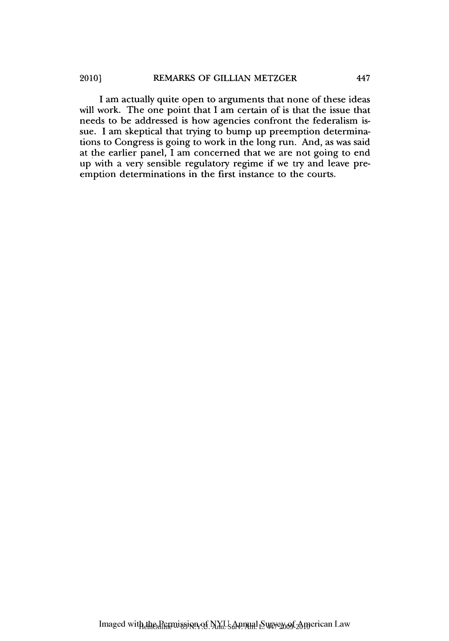I am actually quite open to arguments that none of these ideas will work. The one point that I am certain of is that the issue that needs to be addressed is how agencies confront the federalism issue. I am skeptical that trying to bump up preemption determinations to Congress is going to work in the long run. And, as was said at the earlier panel, I am concerned that we are not going to end up with a very sensible regulatory regime if we try and leave preemption determinations in the first instance to the courts.